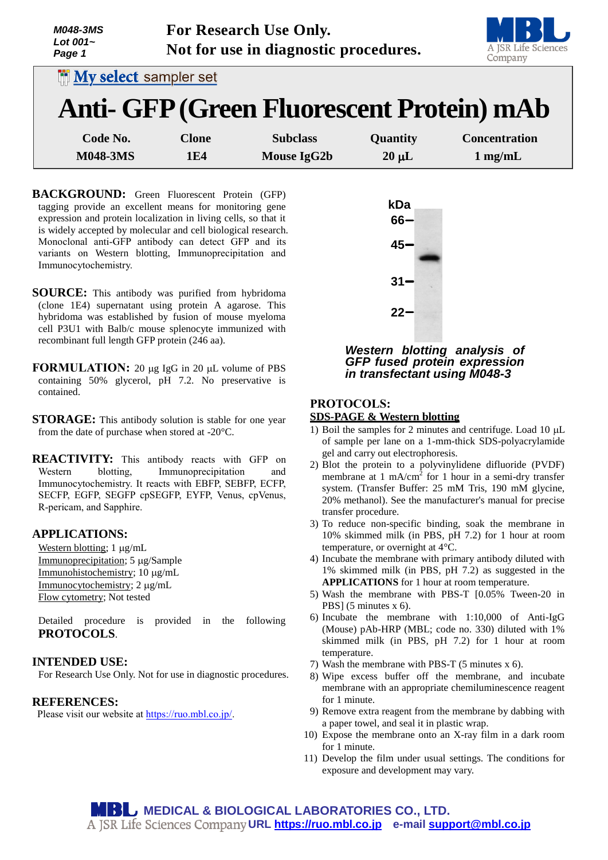| <b>M048-3MS</b><br>Lot $001-$<br>Page 1 |              | For Research Use Only.<br>Not for use in diagnostic procedures. |            | A JSR Life Sciences<br>Company |
|-----------------------------------------|--------------|-----------------------------------------------------------------|------------|--------------------------------|
| <b>My select sampler set</b>            |              |                                                                 |            |                                |
|                                         |              | Anti- GFP (Green Fluorescent Protein) mAb                       |            |                                |
| Code No.                                | <b>Clone</b> | <b>Subclass</b>                                                 | Quantity   | <b>Concentration</b>           |
| <b>M048-3MS</b>                         | 1E4          | Mouse IgG2b                                                     | $20 \mu L$ | $1$ mg/mL                      |

**BACKGROUND:** Green Fluorescent Protein (GFP) tagging provide an excellent means for monitoring gene expression and protein localization in living cells, so that it is widely accepted by molecular and cell biological research. Monoclonal anti-GFP antibody can detect GFP and its variants on Western blotting, Immunoprecipitation and Immunocytochemistry.

- **SOURCE:** This antibody was purified from hybridoma (clone 1E4) supernatant using protein A agarose. This hybridoma was established by fusion of mouse myeloma cell P3U1 with Balb/c mouse splenocyte immunized with recombinant full length GFP protein (246 aa).
- **FORMULATION:** 20 µg IgG in 20 µL volume of PBS containing 50% glycerol, pH 7.2. No preservative is contained.
- **STORAGE:** This antibody solution is stable for one year from the date of purchase when stored at -20°C.
- **REACTIVITY:** This antibody reacts with GFP on Western blotting, Immunoprecipitation and Immunocytochemistry. It reacts with EBFP, SEBFP, ECFP, SECFP, EGFP, SEGFP cpSEGFP, EYFP, Venus, cpVenus, R-pericam, and Sapphire.

### **APPLICATIONS:**

Western blotting;  $1 \mu g/mL$ Immunoprecipitation; 5 µg/Sample Immunohistochemistry; 10 µg/mL Immunocytochemistry; 2 µg/mL Flow cytometry; Not tested

Detailed procedure is provided in the following **PROTOCOLS**.

#### **INTENDED USE:**

For Research Use Only. Not for use in diagnostic procedures.

### **REFERENCES:**

Please visit our website at [https://ruo.mbl.co.jp/.](https://ruo.mbl.co.jp/)



## *Western blotting analysis of GFP fused protein expression in transfectant using M048-3*

# **PROTOCOLS:**

## **SDS-PAGE & Western blotting**

- 1) Boil the samples for 2 minutes and centrifuge. Load 10  $\mu$ L of sample per lane on a 1-mm-thick SDS-polyacrylamide gel and carry out electrophoresis.
- 2) Blot the protein to a polyvinylidene difluoride (PVDF) membrane at  $1 \text{ mA/cm}^2$  for 1 hour in a semi-dry transfer system. (Transfer Buffer: 25 mM Tris, 190 mM glycine, 20% methanol). See the manufacturer's manual for precise transfer procedure.
- 3) To reduce non-specific binding, soak the membrane in 10% skimmed milk (in PBS, pH 7.2) for 1 hour at room temperature, or overnight at 4°C.
- 4) Incubate the membrane with primary antibody diluted with 1% skimmed milk (in PBS, pH 7.2) as suggested in the **APPLICATIONS** for 1 hour at room temperature.
- 5) Wash the membrane with PBS-T [0.05% Tween-20 in PBS] (5 minutes x 6).
- 6) Incubate the membrane with 1:10,000 of Anti-IgG (Mouse) pAb-HRP (MBL; code no. 330) diluted with 1% skimmed milk (in PBS, pH 7.2) for 1 hour at room temperature.
- 7) Wash the membrane with PBS-T (5 minutes x 6).
- 8) Wipe excess buffer off the membrane, and incubate membrane with an appropriate chemiluminescence reagent for 1 minute.
- 9) Remove extra reagent from the membrane by dabbing with a paper towel, and seal it in plastic wrap.
- 10) Expose the membrane onto an X-ray film in a dark room for 1 minute.
- 11) Develop the film under usual settings. The conditions for exposure and development may vary.

**MEDICAL & BIOLOGICAL LABORATORIES CO., LTD. URL [https://ruo.mbl.co.jp](https://ruo.mbl.co.jp/) e-mail [support@mbl.co.jp](mailto:support@mbl.co.jp)**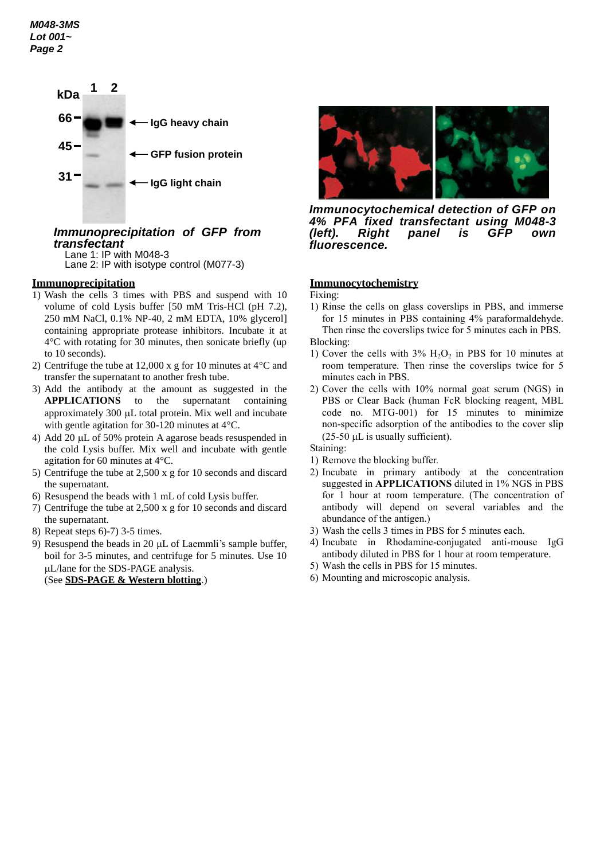

# *Immunoprecipitation of GFP from transfectant*

Lane 1: IP with M048-3 Lane 2: IP with isotype control (M077-3)

## **Immunoprecipitation**

- 1) Wash the cells 3 times with PBS and suspend with 10 volume of cold Lysis buffer [50 mM Tris-HCl (pH 7.2), 250 mM NaCl, 0.1% NP-40, 2 mM EDTA, 10% glycerol] containing appropriate protease inhibitors. Incubate it at 4°C with rotating for 30 minutes, then sonicate briefly (up to 10 seconds).
- 2) Centrifuge the tube at 12,000 x g for 10 minutes at 4°C and transfer the supernatant to another fresh tube.
- 3) Add the antibody at the amount as suggested in the **APPLICATIONS** to the supernatant containing approximately  $300 \mu L$  total protein. Mix well and incubate with gentle agitation for 30-120 minutes at 4°C.
- 4) Add 20  $\mu$ L of 50% protein A agarose beads resuspended in the cold Lysis buffer. Mix well and incubate with gentle agitation for 60 minutes at 4°C.
- 5) Centrifuge the tube at 2,500 x g for 10 seconds and discard the supernatant.
- 6) Resuspend the beads with 1 mL of cold Lysis buffer.
- 7) Centrifuge the tube at 2,500 x g for 10 seconds and discard the supernatant.
- 8) Repeat steps 6)-7) 3-5 times.
- 9) Resuspend the beads in 20  $\mu$ L of Laemmli's sample buffer, boil for 3-5 minutes, and centrifuge for 5 minutes. Use 10 L/lane for the SDS-PAGE analysis.

(See **SDS-PAGE & Western blotting**.)



*Immunocytochemical detection of GFP on 4% PFA fixed transfectant using M048-3*  **Right panel is GFP own** *fluorescence.*

#### **Immunocytochemistry**

Fixing:

- 1) Rinse the cells on glass coverslips in PBS, and immerse for 15 minutes in PBS containing 4% paraformaldehyde. Then rinse the coverslips twice for 5 minutes each in PBS. Blocking:
- 1) Cover the cells with  $3\%$  H<sub>2</sub>O<sub>2</sub> in PBS for 10 minutes at room temperature. Then rinse the coverslips twice for 5 minutes each in PBS.
- 2) Cover the cells with 10% normal goat serum (NGS) in PBS or Clear Back (human FcR blocking reagent, MBL code no. MTG-001) for 15 minutes to minimize non-specific adsorption of the antibodies to the cover slip  $(25-50 \mu L)$  is usually sufficient).
- Staining:
- 1) Remove the blocking buffer.
- 2) Incubate in primary antibody at the concentration suggested in **APPLICATIONS** diluted in 1% NGS in PBS for 1 hour at room temperature. (The concentration of antibody will depend on several variables and the abundance of the antigen.)
- 3) Wash the cells 3 times in PBS for 5 minutes each.
- 4) Incubate in Rhodamine-conjugated anti-mouse IgG antibody diluted in PBS for 1 hour at room temperature.
- 5) Wash the cells in PBS for 15 minutes.
- 6) Mounting and microscopic analysis.